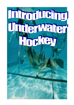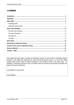# **CONTENTS**

This booklet has been written to provide an information resource for new comers to underwater hockey. Although I have collated the information from various formal and informal sources, it is not an AUF official training manual and the skills and opinions expressed in this booklet are those of the author alone. All feedback is nevertheless welcome so that I can further improve the contents for the purpose of providing new players with a good starting point.

Last Updated 10 January 2005

Lena Plambeck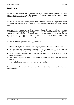## **Introduction**

The British Navy invented underwater hockey in the 1950's to keep their divers fit and to improve their ability to move and work efficiently under water. The game came to Australia shortly after and has evolved into a fast dynamic sport played in more than 20 countries.

The rules of Underwater Hockey are fairly simple. Basically it is a non-contact sport; a player cannot interfere with another player with their free hand. There is no off-side rule however shepherding and obstruction is not allowed.

Underwater Hockey is a great sport for all ages, shapes and sizes. It is a sport that does not cause the injuries from running, stopping suddenly or being run into! Lets face it, you can't fall down. It is a sport that continues to grow and which keeps it players interested. Each game is different; each player must overcome their opponent, moving in water, controlling the puck and the innate need to breathe. Teamwork and anticipation is essential and a lot of communication goes on before and after the games.

The game is 3D, how you play is only limited by your imagination.

- All you need to play this game is a mask, snorkel, flippers, protective glove, a small stick and a puck.
- The stick is used to push or flick the puck along the bottom of the pool. At each end of the pool is a goal. The object of the game is to flick the puck into the opposition team's goal. Sounds easy, doesn't it?
- The pool is 1.5 2.5 metres deep, and the court area itself is 20-25 by 10-15 metres, so there's lots of room to swim about in.
- There are twelve players in the pool at any one time (six players per team) with four subs each waiting at the side.
- A game is 2x15 minutes long with 3 minutes at half time for a breather.

The game is governed in Australia by The Underwater Federation (the AUF) and the Australian Underwater Hockey Commission.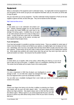# **Equipment**

Below is a description of the equipment used in underwater hockey. You might prefer to borrow equipment for your first games, but the sooner you get your own equipment that better suits you, the sooner you will be able to enjoy the game.

Ask your Club where you can buy equipment. True Blue Underwater Hockey Equipment in Perth are the best suppliers of gloves and bats, but also other gear. They can be reached via their web page:

## http:// www.true-blue.com.au

## *Mask*

A mask allows you to see underwater and protects your face. Ordinary swimming goggles are not used because they provide only limited visibility and could result in eye damage if hit during a game. In addition they are not good to use under pressure and are not so easy to empty out as masks. A mask should have a good seal, be comfortable, have a wide field of vision, be low volume, non-bulky and have separate tempered glass lenses.

## **If you need glasses...**

If you have bad eyesight it is possible to purchase corrective lenses. These are available for certain types of mask in most dive shops or lenses can be fitted by your optician, at a slightly higher, but not always too much, cost. Interestingly, even if you buy a top quality mask and have lenses fitted it usually costs less than a new pair of glasses. Contact lenses can be worn under a mask but there is always the risk of getting them washed out. Some people have problems with contact lenses when they get wet, they tend to get stuck under the eyelid and wander out of place. Not everyone has this problem however.

## *Snorkel*

A snorkel allows you to breathe, while at the surface, without lifting your head up, so you do not have to take your eyes off the game. In addition it acts as a mouthguard, protecting your mouth. The snorkel must be flexible and not made of hard or thin scratchy plastic.

## *Mouthguard*

It is now a requirement in NSW that all players use mouthguards to prevent damage to teeth. It is not often that a player has damaged their teeth, but it has happened when a puck has accidentally ricocheted.

You can either use a mouldable mouthguard that is worn inside your mouth or fit a plastic guard to your snorkel on the outside.

### *Glove*

Protects your fingers from being cut by the tiles in addition to protecting your fingers from impacts with the puck and other players' sticks. You cannot play properly without any finger protection. New players always seem to think that they can play fine without a glove. Without a glove on, you cannot properly flick the puck, swim with the puck or perform any skills without losing chunks of flesh off your hand or breaking little bones.







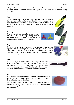Initially new players may have to borrow a glove from someone. Gloves can be obtained, either ready made to a "standard" mould or "tailor made" by purchasing a "glove making kit" from True Blue Underwater Hockey Equipment.

### *Fins*

Fins are to provide you with the speed and power to push the puck around the pool. If you have your own fins, use them to start with but it is worth investing in a pair of hockey-type fins as soon as possible. These are different to scuba fins and spearfishing fins in that they do not have any buckles or stiff blades, which could be dangerous.

### *Fin Keepers*

These are essential when wearing fins, especially with long, stiff blades as the leverage during swimming can cause your heels to pop out. Fin keepers hold the heels in and make it almost impossible for someone to pull your fins off.

#### *Cap*

The caps are the same as used in water-polo. At tournaments all players must wear caps of the colour corresponding to their team stick colour (dark or light, i.e. blue or white cap) with an identifying number on. While not a quaranteed protection against burst eardrums, ear guards do help prevent them, as well as protecting your ears from getting ripped up.

### *Bat*

The bat (or stick) is the most important piece of equipment. It is about 25 cm long and approx 2 cm thick. There are rules that dictate the size and shape of the bat. If you buy your bat from True Blue Underwater Hockey Equipment, you will be able to chose from a few different shapes. Talk to your club mates and trial a few of theirs' first before you chose.

#### *Puck*

Shown is a lead puck used in all games. It is made of lead with a plastic coating to prevent the pool from getting lead marks. It weighs about 1.3 - 1.5 kg and is 80 cm in diameter. It is also 32 cm high.

There are different levels of hardness in pucks (to suit the different types of pool surfaces). Soft pucks are used in pools with "delicate tiles", medium pucks are standard and hard pucks are used on more abrasive surfaces like small, uneven tiles or concrete.







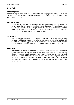## **Basic Skills**

### *Snorkelling Skills*

Almost every beginner knows how to swim. Some have had snorkelling experience or diving experience, but underwater hockey has a unique set of water skills which are vital to the game and which need to be taught. In brief summary these are:

### *Clearing a Snorkel*

A player must be able to clear their snorkel without taking the mouthpiece out of their mouths. The correct way is to blast the water from the snorkel by making "Thu" sound. If there is still some water in the bend of the snorkel, repeat the clearing technique. It is easier to clear the snorkel if it is tilted slightly, and the more experienced players even start clearing whilst still underwater so that by the time the snorkel is above the water, there is very little left to clear.

### *Duck-Diving*

This is the term used to get to the bottom, in a head first motion (like a duck!). The classic duck-dive consists of a jack-knife movement of the top half of the body and the legs are lifted up into the air with the feet pointed and the body goes down at 90° to the surface. The feet do not kick until under the surface; it is the momentum of the upper body that gives propulsion at the start of the duck-dive.

### *Frog-Diving*

Frog-diving or "drop down" is the term used to get down to the bottom with the fins first. The benefit of dropping down instead of duck-diving is that you can see everything better as your head is up the whole time. Also, you naturally end up into a strong position with your legs lower than your head. When you duck-dive it will take longer for you to get your legs to the bottom and your head up. The technique of the frog-dive is hard to explain in words, but generally speaking, the frog-dive requires that you use your fins (by arching your back and pushing the fin upward) and your left hand to "pull" your self downward.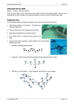#### *Underwater Hockey Skills*

Practice … Practice …and more Practice

There are many skills to learn and you can never spend too much time practicing skills. Here are some fundamentals, but don't hesitate to ask experienced players to show you some other skills and/or drills.

#### *Pushing the Puck*

The first skill that needs to be taught is pushing the puck, which is the basis for puck control.

- Start with the body flat on the bottom. The playing arm should be slightly bent.
- The puck should rest on the bat against the fore-finger.
- Swim forward pushing the puck along the bottom.
- Puck should remain in contact with the pusher at all times.
- Once the basic skill is acquired, a range of drills can be used to further develop puck control.
	- $\triangleright$  Weaving or dribbling between markers.



 $\triangleright$  "Stick Bat in a Vee formation" – Do the Sticky Bat, but this time in a vee formation.





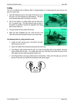## *Curling*

The curl is an effective form of defence, either to change direction or to simply guard the puck until you can pass it to a team mate.

- Start with holding the puck on the inside of the bat and move the puck in an arch clockwise (for right-handers). The bat & puck should be kept close to the body, ie arm bent.
- The fins are kicked in a cycling motion and the body turns 90° or a quarter circle. The body should be kept as close to the bottom as possible to prevent the opposition from being able to reach under you.
- The puck should not lose contact with the bat.
- When you have completed your turn, move the bat to the other side of the puck and pass the puck to your team mate.

### **The following drills for curling should be used:**

- $\triangleright$  Simply turn 360° with the puck to the RIGHT and 360° with the puck to the LEFT.
- $\triangleright$  Stop in the middle of the movement and go back the other way.
- $\triangleright$  (Two Players) Swim forward with the puck, do a half curl and pass back to your partner, who then swims forward with the puck. You surface (get some air), drop down and receive the puck off the other player who has curled and passed it back to you.
- ¾ (Two Players) Mirror curls (copy another person's movements). If they curl to the right, you curl to the left and, if done well, you should end up facing the other person again.





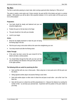## **The following drills are useful for practicing the flick.**

- $\triangleright$  Swim and flick with one, two or three pucks. When using two or more pucks aim to lift the puck over the other/s.
- $\triangleright$  Sitting opposite another player and practice flicking to each other.
- $\triangleright$  Swim with another player on either side of a black line and pass to each other aim to flick "over" the black line.
- $\triangleright$  Start with the puck on a black line and flick perpendicular to it. Measure the distance by counting the number of tiles - try and beat your personal best. Experiment with the position of the puck relative to your body.

#### *The Flick*

The flick is used when passing to a team mate, when scoring a goal and when clearing in a "flick and run".

The action is mainly a wrist action and, if done correctly, the puck will lift of the bottom and spin in a vertical position. With practice you will be able to flick anywhere between 2-3.5 m and be able to lift the puck up to 0.5 m off the bottom!

#### **Preparation:**

- Your body should be steady and balanced and your arm should be slightly bent.
- Position the puck on the bat close to the finger.
- The puck should be in line with your shoulder.
- Look for your target.

#### **Action:**

- Bend the bat slightly backward to make the puck roll along the flicking edge of the bat.
- Flick the puck using a wrist action whilst at the same time straightening your arm.
- Your body should recoil after the flicking action.

#### **Follow Through:**

- If the action has been correct the puck should lift off the bottom and take a vertical position.
- You should follow through the flick with your bat such that you are pointing in the direction of the puck with your thumb in the upper position.



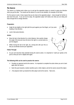#### *The Swerve*

The swerve is a feinting tactic where you try and get the opposition player to commit in going one direction when you go the other. You would use the swerve in a one-on-one situation, for example on the strike.

For the swerve to work, it does require that you be close to the opposition player – close enough for him/her to also touch the puck. If you are too far away, the opposition player will clearly see what you are doing and have enough time to change direction.

#### **Preparation:**

- Angle the bat slightly to the right (with the puck against your fore-finger), as if you were heading in that direction.
- Look in that same direction.

#### **Action:**

- Move the bat in that direction for a short distance, then quickly change the angle of the bat and move the bat to the right in a curved action as per the diagram.
- Whilst moving the bat to the right, do a strong kick with your fins so that you accelerate around your opposition.

#### **Follow Through:**

• As your arm becomes fully extended during the swerve action, it is important to "catch-up" quickly to the puck so that your arm is slightly bent again.

#### **The following drills can be used to practice the swerve:**

- $\triangleright$  Visualise an opponent and do the swerve. It is important to complete the action where you arm is bent again after the swerve.
- $\triangleright$  Swim the puck towards a marker (another puck or other object), and do the swerve around this object.
- $\triangleright$  (Two players) Swim up towards the other player and do the swerve. Take turns.



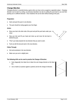### *Change Direction*

Changing direction is essential during a game when you have come up against a opposition player. Changing direction can be done by curling, as previously described, but also by pulling the puck back to you and then pushing out in a different direction. Once mastered, this can be done without looking at the puck.

#### **Preparation:**

- Swim and push the puck in one direction.
- The puck should be resting against your fore-finger.

#### **Action:**

- Move your bat to the other side of the puck and pull the puck back under your chest.
- Stop your kick and lift your head and chest up and move the bat back to behind the puck.
- "Pivot" your body towards the new direction that you want to swim.
- Push out with the bat and swim in the new direction.

#### **Follow Through:**

- Kick and accelerate in the new direction.
- Make sure your arm is slightly bent.

#### **The following drills can be used to practice the Change of Direction:**

- $\triangleright$  Swim diagonally from black line to black line and change direction at the black line.
- $\triangleright$  Use a marker (or practice against a partner) and do the change of direction.



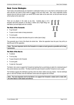# **Basic Game Strategies**

Team tactics and positional play are important in underwater hockey as it is very hard to communicate to each other and thus you need to know where to expect to find your team mate. Also, since underwater hockey requires that you hold your breath, you cannot all be under water at the same time, as that will mean that you will all surface at the same time!

There are six players in the water at any time. Australia plays a 3-2-1 formation with three forwards (a Left Wing, a Striker and a Right Wing), two Half Backs (Left and Right) and one Full Back.

## *The Role of the Forwards*

- To go forward!
- To pass to team mates to keep possession
- To score goals
- The Striker is the player that takes the puck on strike (start of play)

They generally stay in front of the Backs the whole time. When the opposition have the puck, they will try to steal the puck off the opposition.

**Note: The most important role for the Forwards is to make as much ground as possible and to keep possession.** 

## *The Role of the Backs*

- To defend
- To set up play
- To pass forward to the Forwards
- To score goals
- To take the "free pucks"

The Backs' role is also to support the Forwards by backing them up and being an option for a backward pass if they cannot advance any further. The Back would then pass forward to another Forward (or score a goal).

The Full Back supports the Half Backs and they enter into what's called a two-way rotation – first the Half Back goes in, then the Full Back, then the Half Back comes back and supports the Full Back.

**Note: The most important role for the Backs is to support the Forwards in attack and to rotate with the other Backs in both attack and defence.** 

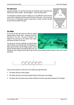### *The Diamond*

A general strategy is to take the puck wide out of defence and to bring the puck back into the centre in attack. See the diagram – stay in the white areas!

It is important to avoid the corners in attack as it is very difficult to score from the corner and the opposition will aim to push the puck out that way. If you do end up in the corner, it is sometimes smarter to pass back to a Back, who then will take the puck into the middle of the goal.



### *The Strike*

At the start of play both teams are lined up against opposite walls to do the strike. All players must have one hand on the wall. The puck is placed in the middle of the court and on the umpire's start signal, both teams will sprint for the puck.

The line-up on the wall is typically as pictured below with the Striker in line with the puck, the Half Backs on either side of him/her and the Wings outside of them with the Full Back either to the furthest right or left. By



starting this way, all players will be able to get into their correct positions without having to swim over or under each other.



There are many options on what to do on the strike (if you get there first!):

- $\triangleright$  The Striker will pass to either Winger.
- $\triangleright$  The Striker will swerve around the opposite Striker and then pass to the Winger.
- $\triangleright$  The Striker will curl and pass back to either Half Back, who then swims wide and passes to the Winger.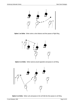

**Option 1 on Strike:** Striker swims a short distance and then passes to Right Wing.



**Option 2 on Strike:** Striker swerves around opposition and passes to Left Wing.



**Option 3 on Strike:** Striker curls and passes to the Left Half who then passes to Left Wing.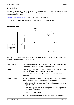## **Basic Rules**

The game is governed by the Australian Underwater Federation (the AUF) which in turn subscribes to the international body called CMAS. CMAS is the body that defines the rules of the game. A rules book can be obtained via the AUF website:

http://www.underwater-hockey.com/ Look for links to the CMAS UWH Rules.

Below are some basic rules that you need to be aware of when you play your club games.

#### *The Playing Area*



Your club may not play in a "full size" court due to the limitations of your club pool, but the free-puck line is always 5 m from the ends and 2 m from the sides.

| <b>Start of Play</b> | Both teams must have one hand on the wall until the signal is given, either from<br>a referee or from somebody calling "Both Teams Ready - Go!" |  |
|----------------------|-------------------------------------------------------------------------------------------------------------------------------------------------|--|
| Goal                 | A goal is deemed when the puck enters fully within the goal space in the goal<br>tray. It is NOT a goal when the puck goes over the goal.       |  |
|                      | When a goal has been scored, both teams return to their ends and await the<br>start signal.                                                     |  |
| Infringements        | Or fouls. Underwater hockey is a non-contact sport so it is not allowed to<br>interfere with the other players. Examples of infringements are:  |  |
|                      | Using your non-playing hand to fend off, pull or otherwise interfere with the<br>opposition player.                                             |  |
|                      | Hitting, slashing or pushing of the other player using your playing hand.<br>$\bullet$<br>Your are only allowed to touch the puck.              |  |
|                      | Hitting the puck out-of-bounds.<br>$\bullet$                                                                                                    |  |
|                      | When an infringement has been called, a free puck is awarded the other team.                                                                    |  |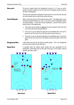**Free puck** The puck is placed where the infringement occurred, or if it was an out-ofbounds, the puck is placed on the free puck line (see diagram above) closest to the point of infringement.

> The team that caused the infringement moves back 3 m from the puck and may not move forward until the other team touches the puck.

**Out-of-Bounds** When a puck has gone out of the playing area (court). The playing area in your club game might be defined by a line, a vent line or other recognisable feature on the pool bottom. In the more formal competitions, a barrier will be used to keep the puck in the playing area.

- If the puck is put out along the side line, the puck is placed on the Free Puck Line in line with where the puck went out.
- If the puck is put out along the end line by the attacking team, the puck is placed on the Free Puck Line in line with where the puck went out.
- If the puck is put out along the end line by the defending team, the puck is placed on the Free Puck Line in the centre of the pool (ie right in front of the goal).
- **Dangerous Flick** A flick where the puck hits the head of another player. This is an infringement and a free puck is given to the other team.

**Equal Puck** Is awarded when the referee cannot decide who was responsible for the infringement. Both teams start on their side of the puck, on the surface, until the signal to start play is given.



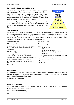## **Training For Underwater Hockey**

Like any sport, the only way to improve your game is to train. To perform well in underwater hockey it helps to have a basic fitness level. The fitter you are the easier and quicker you will learn new skills. When you have mastered the basic skills, you will be able to start focusing on the tactics that your team should adopt. Once your team has achieved that level, all that is remaining is a winning attitude to be successful.

When you start playing underwater hockey, however, your focus should be on your fitness and your skills. The following section will give you a few ideas about how underwater hockey players train and what activities that they do.



### *Fitness Training*

The best and most sport specific training that you can do is to do laps with fins and mask and snorkel. The swim sessions are similar in structure to normal swim sessions (like swimmers do), but you can add a lot more variety by including various underwater sets. You can also do your laps with or without a puck. It is a good idea to try and incorporate specific skills into the swim programs like duck dives and frog dives, turning underwater and flicking. Here are a few examples of training programs:

| Swim Session 1 (2.2km)                                                                                                 | Swim Session 2 (1.95km)                                                                                                                                        |  |
|------------------------------------------------------------------------------------------------------------------------|----------------------------------------------------------------------------------------------------------------------------------------------------------------|--|
| 500m warm-up freestyle                                                                                                 | 500m warm-up freestyle                                                                                                                                         |  |
| 10x50m "bouncing" (dive down at 45° angle, touch bottom swim<br>up at 45° angle, take one breath and dive down again)  | $20x50m$ 4 sets of:<br>1x50m bouncing                                                                                                                          |  |
| 5x50m freestyle                                                                                                        | 1x50m freestyle<br>1x50m flutter kick (legs only)                                                                                                              |  |
| 5x50m flutter kick (legs only)                                                                                         | 1x50m 1/4 top, 1/4 bottom, 1/4 top, 1/4 bottom                                                                                                                 |  |
| 5x50m ¼ top, ¼ bottom, ¼ top, ¼ bottom (ie12.5m freestyle,<br>12.5m underwater, 12.5m freestyle, 12.5m underwater)     | 1x50m freestyle<br>10x12.5m drop down, swim 6kicks turn underwater swim back.<br>Can use puck.<br>5x25m underwater (take a breath at 12.5m if needed). Can use |  |
| 5x25m drop down (frog dive) swim 6kicks, up for one breath and<br>drop down again, swim for 6 kicks etc. Can use puck. |                                                                                                                                                                |  |
| 5x25m underwater (take a breath at 12.5m if needed). Can use<br>puck.                                                  | puck.<br>200m cool down                                                                                                                                        |  |
| 200m cool down                                                                                                         |                                                                                                                                                                |  |

### *Skills Training*

You can incorporate skills into your swim sessions, but there are some skill exercises that require you to be stationary and if you are in the swimmers' lanes, you might get in the way of the other swimmers. Find a quiet corner of the pool and practice the following:

Basic puck skills, see page 8-12.

### *Team Tactics Training*

Although you might not get an opportunity to practice team tactics during your regular club nights, here are a few examples of some drills for team tactics:

3 on 2's (3 attackers vs 2 defenders)

2 on 1's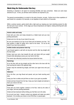## **Stretching for Underwater Hockey**

Stretching is important in all sports for increasing flexibility and injury prevention. Below are some basic stretches for you. In time, you will learn which stretches are important to you.

The general recommendation is to stretch to the point of tension, not pain. Perform two to three repetitions of each stretch for a duration of 10 seconds; or one repetition of each stretch for 30 seconds.

Within a workout session, gently stretch after a light warm-up, keeping your main stretching session for after the main part of your workout. At this stage your tissue temperatures are highest, making stretching both safer and more productive.

| Anterior ankle and instep                                                                                                                                                                            |  |
|------------------------------------------------------------------------------------------------------------------------------------------------------------------------------------------------------|--|
| Kneel with your shins and instep elevated by a folded towel and your toes<br>pointing backwards.                                                                                                     |  |
| Exhale and sit on the top of your heels (if you can).                                                                                                                                                |  |
| Be sure your buttocks sit on top of your heels and not between your feet. The<br>later position is called 'W sitting' and is bad for the knees. Do not do this<br>stretch if you have knee problems. |  |
| Achilles tendon and posterior lower leg                                                                                                                                                              |  |
| Lean forward against a wall with one leg bent and the other leg straight with<br>the heel raised.                                                                                                    |  |
| Exhale, bend your arms, lean towards the wall, and slowly shift your weight<br>forward while attempting to press your rear heel to the floor.                                                        |  |
| This stretch also effectively stretches the tissues behind the knee.                                                                                                                                 |  |
| <b>Hamstrings</b>                                                                                                                                                                                    |  |
| Sit on the floor with one leg straight and the other bent at the knee with the<br>heel touching the inside of the opposite thigh.                                                                    |  |
| Exhale, keep the extended leg straight, and lower your upper torso onto your<br>thigh.                                                                                                               |  |
| <b>Adductors</b>                                                                                                                                                                                     |  |
| Sit on the floor, your legs flexed and spread, and your heels touching each<br>other.                                                                                                                |  |
| Grasp your feet or ankles and pull them as close to your groin as possible.                                                                                                                          |  |
| Exhale and lean forward from the hips. Keep your back straight and attempt to<br>lower your chest to the floor.                                                                                      |  |
| Quadriceps                                                                                                                                                                                           |  |
| Kneel with your knees together, buttocks on the floor, heels by the sides of<br>your thighs, and toes pointing backwards.                                                                            |  |
| Exhale and lean backward without letting your feet flare out to the sides.                                                                                                                           |  |
| Do not arch your back. Instead, contract your gluteals and rotate your pelvis<br>backward. Do not allow your knees to rise off the floor or spread apart.                                            |  |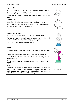| Hips and gluteals                                                                                                                                                                                                                                                                                                 |                    |
|-------------------------------------------------------------------------------------------------------------------------------------------------------------------------------------------------------------------------------------------------------------------------------------------------------------------|--------------------|
| Sit on the floor and flex your left knee so that your left foot points to your right.                                                                                                                                                                                                                             |                    |
| Cross your right leg over your left leg and place your right foot flat on the floor.                                                                                                                                                                                                                              |                    |
| Exhale, bend your upper torso forward, and place your head on your bottom<br>knee.                                                                                                                                                                                                                                |                    |
| <b>Posterior neck</b>                                                                                                                                                                                                                                                                                             |                    |
| Stand of sit and interlock your hands behind your head near the crown.                                                                                                                                                                                                                                            |                    |
| Exhale, pull your head forward and allow your chin to rest on your chest.<br>Keep your shoulders depressed during this stretch.                                                                                                                                                                                   |                    |
| Shoulder external rotators                                                                                                                                                                                                                                                                                        |                    |
| Sit or stand, flex your right arm, and raise your elbow to chest height.                                                                                                                                                                                                                                          |                    |
| Flex and raise your left arm so its elbow can support your right elbow and<br>intertwine your forearms so your left hand grasps your right wrist.                                                                                                                                                                 |                    |
| Exhale and pull your wrist outward and downward.                                                                                                                                                                                                                                                                  |                    |
| <b>Triceps</b>                                                                                                                                                                                                                                                                                                    |                    |
| Sit or stand with one arm behind your lower back and as far up on your back<br>as possible.                                                                                                                                                                                                                       |                    |
| Lift your other arm overhead, while holding a towel, and flex your elbow.                                                                                                                                                                                                                                         |                    |
| Grasp the towel with your lower hand and inhale as you pull your hands<br>toward each other.                                                                                                                                                                                                                      |                    |
| As your flexibility improves, forget the towel, and instead try to interlock your<br>fingers.                                                                                                                                                                                                                     |                    |
| <b>Wrists</b>                                                                                                                                                                                                                                                                                                     |                    |
| Rotate your wrist in a circular motion, but also in a flicking motion. With your<br>left hand, grab your right palm and straighten your right arm, thus stretch the<br>inside tendons of your arm and wrist. Do the stretch the other way so that the<br>outside tendons and muscles are stretched. Change hands. | No picture, sorry. |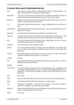## **Common Terms used in Underwater Hockey**

Back Term used for the three positions of Left Half Back, Full Back and Right Half Back. The Backs' most important task is to support the forwards in attack. Back rotation Term used to describe the way a Half Back and a Full Back (or sometimes all three) will support each other by rotating back behind the other after they have been beaten. Black puck Called when the white team has caused an infringement (either fouled or put the puck out-ofbounds). The black team then has a Free puck. Curl A movement involving turning with the puck. Is used to change direction or to pass back to a Back. Dangerous flick A flick where the puck hits the head of another player. This is an infringement and a free puck is given to the other team. Dolphin kick A style of kicking where both legs are kept together as in butterfly swimming. Equal puck Is awarded when the referee cannot decide who was responsible for the infringement. Both teams start on their side of the puck, on the surface, until the signal to start play is given. Flick Term used for advancing the puck forward by using a snapping action of the wrist. The puck will lift off the bottom and spin in a vertical position. Flutter kick The style of kicking as used in freestyle swimming. Forward Term used for the three positions of Left Wing, Striker and Right Wing. The forwards' main aim is to make as much ground as possible and then to pass to a team mate (keep possession). Free puck When a team infringes or puts the puck out of the court, a free puck is called. The team that caused the infringement must move back 3 m from the puck. Full Back See *Back*. Goal A goal is deemed when the puck enters fully within the goal space in the goal tray. It is NOT a goal when the puck goes over the tray. Half Back See *Back*. Out-of-Bounds Term used to call when a puck has gone out of the playing area (court). The playing area in your club game might be defined by a line, a vent line or other recognisable feature on the pool bottom. In the more formal competitions, a barrier will be used to keep the puck in the playing area. Stick Bat or pusher Strike The start of play, where both teams must have one hand on the wall until the signal is given. Striker The forward that "takes the strike" at the start of play. See also *Forward*. Subs Abbreviation for substitutes. A team will have six players in the water and allowed a maximum of 4 substitutes, who must be fully out of the water. White puck Called when the black team has caused an infringement (either fouled or put the puck out-ofbounds). The white team then has a Free puck. Winger See *Forward*.